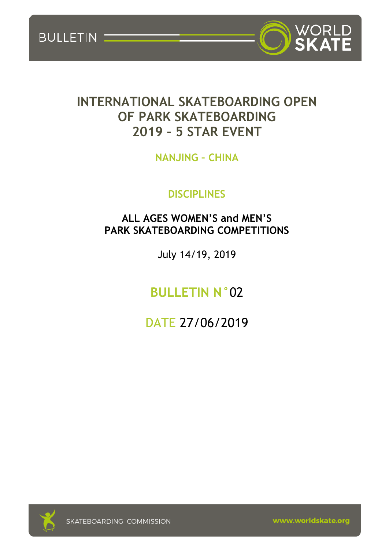BULLETIN



# **INTERNATIONAL SKATEBOARDING OPEN OF PARK SKATEBOARDING 2019 – 5 STAR EVENT**

**NANJING – CHINA**

## **DISCIPLINES**

### **ALL AGES WOMEN'S and MEN'S PARK SKATEBOARDING COMPETITIONS**

July 14/19, 2019

**BULLETIN N°**02

DATE 27/06/2019



www.worldskate.org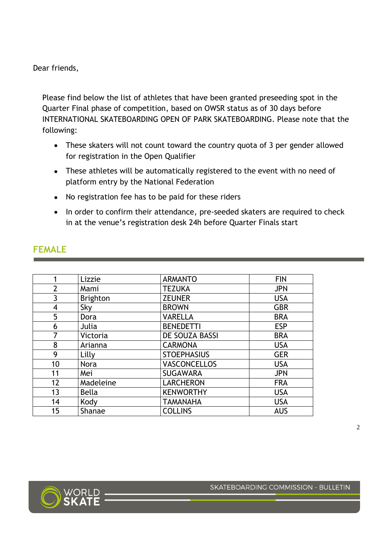Dear friends,

Please find below the list of athletes that have been granted preseeding spot in the Quarter Final phase of competition, based on OWSR status as of 30 days before INTERNATIONAL SKATEBOARDING OPEN OF PARK SKATEBOARDING. Please note that the following:

- These skaters will not count toward the country quota of 3 per gender allowed for registration in the Open Qualifier
- These athletes will be automatically registered to the event with no need of platform entry by the National Federation
- No registration fee has to be paid for these riders
- In order to confirm their attendance, pre-seeded skaters are required to check in at the venue's registration desk 24h before Quarter Finals start

| 1              | Lizzie          | <b>ARMANTO</b>      | <b>FIN</b> |
|----------------|-----------------|---------------------|------------|
| $\overline{2}$ | Mami            | <b>TEZUKA</b>       | <b>JPN</b> |
| 3              | <b>Brighton</b> | <b>ZEUNER</b>       | <b>USA</b> |
| 4              | Sky             | <b>BROWN</b>        | <b>GBR</b> |
| 5              | Dora            | <b>VARELLA</b>      | <b>BRA</b> |
| 6              | Julia           | <b>BENEDETTI</b>    | <b>ESP</b> |
| 7              | Victoria        | DE SOUZA BASSI      | <b>BRA</b> |
| 8              | Arianna         | <b>CARMONA</b>      | <b>USA</b> |
| 9              | Lilly           | <b>STOEPHASIUS</b>  | <b>GER</b> |
| 10             | <b>Nora</b>     | <b>VASCONCELLOS</b> | <b>USA</b> |
| 11             | Mei             | <b>SUGAWARA</b>     | <b>JPN</b> |
| 12             | Madeleine       | <b>LARCHERON</b>    | <b>FRA</b> |
| 13             | <b>Bella</b>    | <b>KENWORTHY</b>    | <b>USA</b> |
| 14             | Kody            | <b>TAMANAHA</b>     | <b>USA</b> |
| 15             | Shanae          | <b>COLLINS</b>      | <b>AUS</b> |

#### **FEMALE**

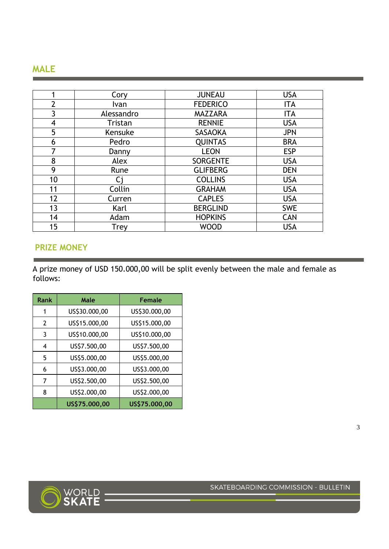#### **MALE**

| 1              | Cory       | <b>JUNEAU</b>   | <b>USA</b> |
|----------------|------------|-----------------|------------|
| $\overline{2}$ | Ivan       | <b>FEDERICO</b> | <b>ITA</b> |
| 3              | Alessandro | <b>MAZZARA</b>  | <b>ITA</b> |
| 4              | Tristan    | <b>RENNIE</b>   | <b>USA</b> |
| 5              | Kensuke    | <b>SASAOKA</b>  | <b>JPN</b> |
| 6              | Pedro      | <b>QUINTAS</b>  | <b>BRA</b> |
|                | Danny      | <b>LEON</b>     | <b>ESP</b> |
| 8              | Alex       | <b>SORGENTE</b> | <b>USA</b> |
| 9              | Rune       | <b>GLIFBERG</b> | <b>DEN</b> |
| 10             | Ci         | <b>COLLINS</b>  | <b>USA</b> |
| 11             | Collin     | <b>GRAHAM</b>   | <b>USA</b> |
| 12             | Curren     | <b>CAPLES</b>   | <b>USA</b> |
| 13             | Karl       | <b>BERGLIND</b> | <b>SWE</b> |
| 14             | Adam       | <b>HOPKINS</b>  | <b>CAN</b> |
| 15             | Trey       | <b>WOOD</b>     | <b>USA</b> |

#### **PRIZE MONEY**

A prize money of USD 150.000,00 will be split evenly between the male and female as follows:

| Rank           | Male          | <b>Female</b> |
|----------------|---------------|---------------|
| 1              | US\$30.000,00 | US\$30.000,00 |
| $\overline{2}$ | US\$15.000,00 | US\$15.000,00 |
| 3              | US\$10.000,00 | US\$10.000,00 |
| 4              | US\$7.500,00  | US\$7.500,00  |
| 5              | US\$5.000,00  | US\$5.000,00  |
| 6              | US\$3.000,00  | US\$3.000,00  |
| 7              | US\$2.500,00  | US\$2.500,00  |
| 8              | US\$2.000,00  | US\$2.000,00  |
|                | US\$75.000,00 | US\$75.000,00 |



SKATEBOARDING COMMISSION - BULLETIN